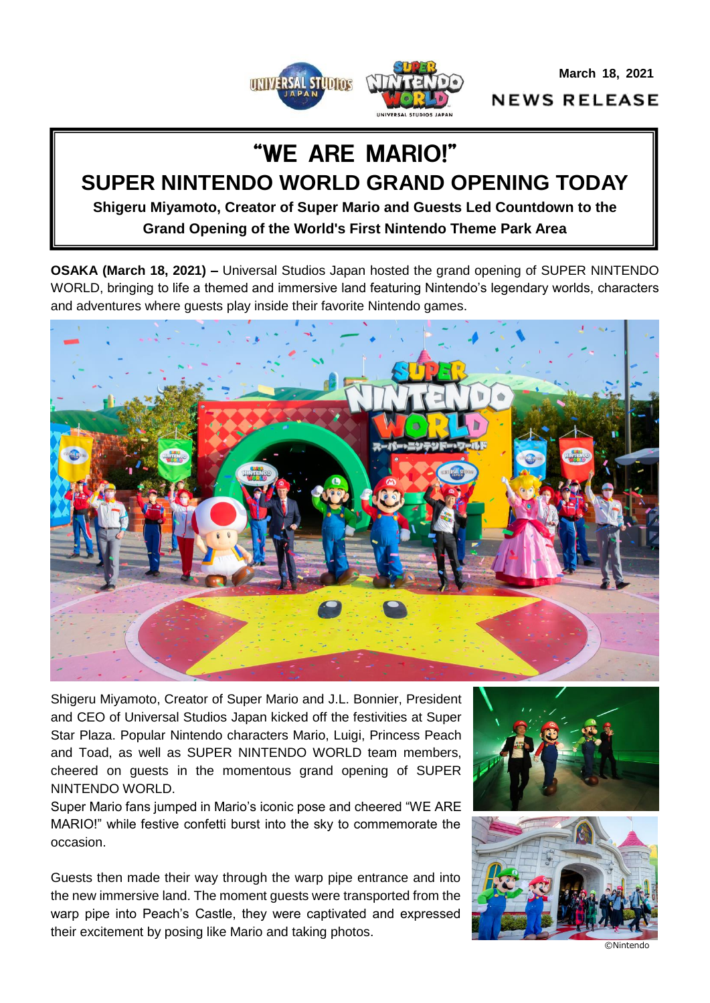**March 18, 2021**



**NEWS RELEASE** 

# "WE ARE MARIO!" **SUPER NINTENDO WORLD GRAND OPENING TODAY**

**Shigeru Miyamoto, Creator of Super Mario and Guests Led Countdown to the Grand Opening of the World's First Nintendo Theme Park Area**

**OSAKA (March 18, 2021) –** Universal Studios Japan hosted the grand opening of SUPER NINTENDO WORLD, bringing to life a themed and immersive land featuring Nintendo's legendary worlds, characters and adventures where guests play inside their favorite Nintendo games.



Shigeru Miyamoto, Creator of Super Mario and J.L. Bonnier, President and CEO of Universal Studios Japan kicked off the festivities at Super Star Plaza. Popular Nintendo characters Mario, Luigi, Princess Peach and Toad, as well as SUPER NINTENDO WORLD team members, cheered on guests in the momentous grand opening of SUPER NINTENDO WORLD.

Super Mario fans jumped in Mario's iconic pose and cheered "WE ARE MARIO!" while festive confetti burst into the sky to commemorate the occasion.

Guests then made their way through the warp pipe entrance and into the new immersive land. The moment guests were transported from the warp pipe into Peach's Castle, they were captivated and expressed their excitement by posing like Mario and taking photos.





©Nintendo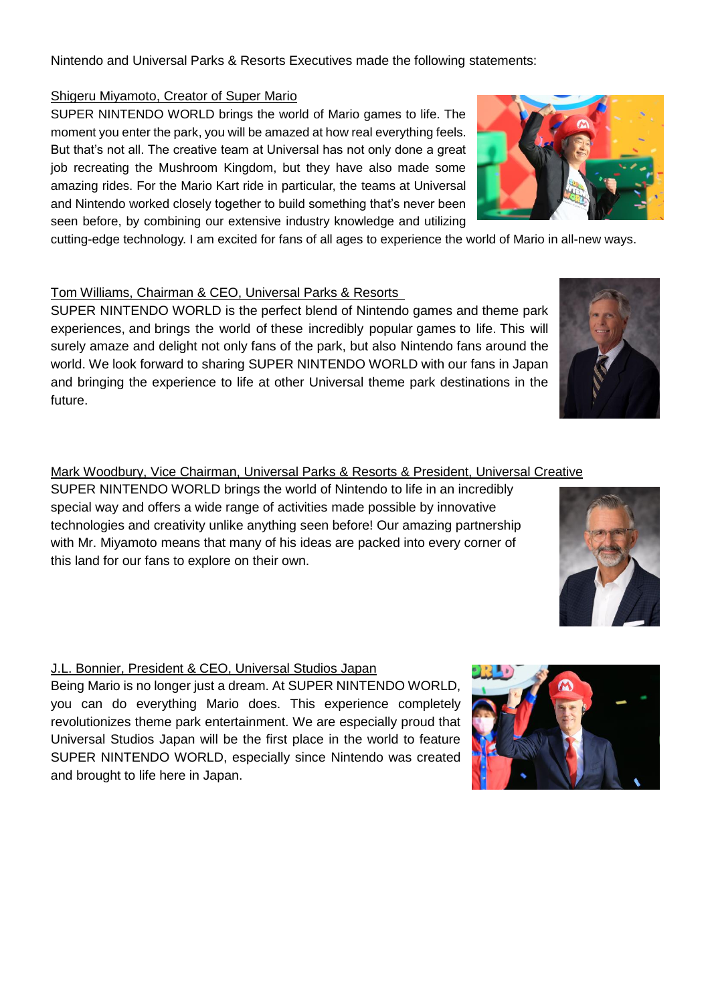Nintendo and Universal Parks & Resorts Executives made the following statements:

#### Shigeru Miyamoto, Creator of Super Mario

SUPER NINTENDO WORLD brings the world of Mario games to life. The moment you enter the park, you will be amazed at how real everything feels. But that's not all. The creative team at Universal has not only done a great job recreating the Mushroom Kingdom, but they have also made some amazing rides. For the Mario Kart ride in particular, the teams at Universal and Nintendo worked closely together to build something that's never been seen before, by combining our extensive industry knowledge and utilizing

cutting-edge technology. I am excited for fans of all ages to experience the world of Mario in all-new ways.

# Tom Williams, Chairman & CEO, Universal Parks & Resorts

SUPER NINTENDO WORLD is the perfect blend of Nintendo games and theme park experiences, and brings the world of these incredibly popular games to life. This will surely amaze and delight not only fans of the park, but also Nintendo fans around the world. We look forward to sharing SUPER NINTENDO WORLD with our fans in Japan and bringing the experience to life at other Universal theme park destinations in the future.

#### Mark Woodbury, Vice Chairman, Universal Parks & Resorts & President, Universal Creative

SUPER NINTENDO WORLD brings the world of Nintendo to life in an incredibly special way and offers a wide range of activities made possible by innovative technologies and creativity unlike anything seen before! Our amazing partnership with Mr. Miyamoto means that many of his ideas are packed into every corner of this land for our fans to explore on their own.

# J.L. Bonnier, President & CEO, Universal Studios Japan

Being Mario is no longer just a dream. At SUPER NINTENDO WORLD, you can do everything Mario does. This experience completely revolutionizes theme park entertainment. We are especially proud that Universal Studios Japan will be the first place in the world to feature SUPER NINTENDO WORLD, especially since Nintendo was created and brought to life here in Japan.





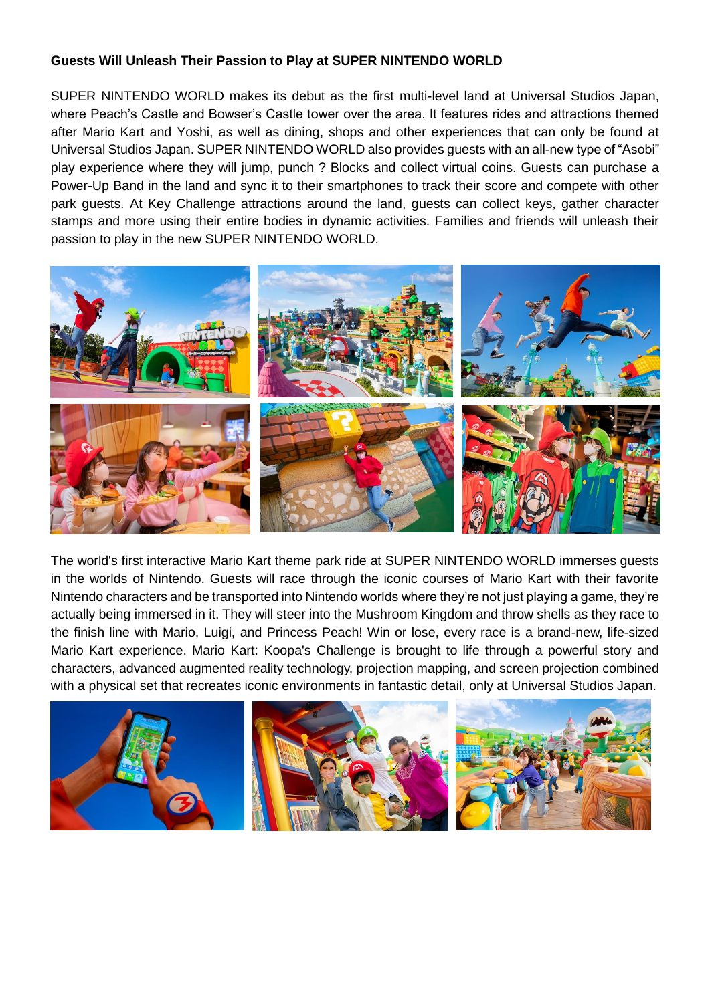### **Guests Will Unleash Their Passion to Play at SUPER NINTENDO WORLD**

SUPER NINTENDO WORLD makes its debut as the first multi-level land at Universal Studios Japan, where Peach's Castle and Bowser's Castle tower over the area. It features rides and attractions themed after Mario Kart and Yoshi, as well as dining, shops and other experiences that can only be found at Universal Studios Japan. SUPER NINTENDO WORLD also provides guests with an all-new type of "Asobi" play experience where they will jump, punch ? Blocks and collect virtual coins. Guests can purchase a Power-Up Band in the land and sync it to their smartphones to track their score and compete with other park guests. At Key Challenge attractions around the land, guests can collect keys, gather character stamps and more using their entire bodies in dynamic activities. Families and friends will unleash their passion to play in the new SUPER NINTENDO WORLD.



The world's first interactive Mario Kart theme park ride at SUPER NINTENDO WORLD immerses guests in the worlds of Nintendo. Guests will race through the iconic courses of Mario Kart with their favorite Nintendo characters and be transported into Nintendo worlds where they're not just playing a game, they're actually being immersed in it. They will steer into the Mushroom Kingdom and throw shells as they race to the finish line with Mario, Luigi, and Princess Peach! Win or lose, every race is a brand-new, life-sized Mario Kart experience. Mario Kart: Koopa's Challenge is brought to life through a powerful story and characters, advanced augmented reality technology, projection mapping, and screen projection combined with a physical set that recreates iconic environments in fantastic detail, only at Universal Studios Japan.